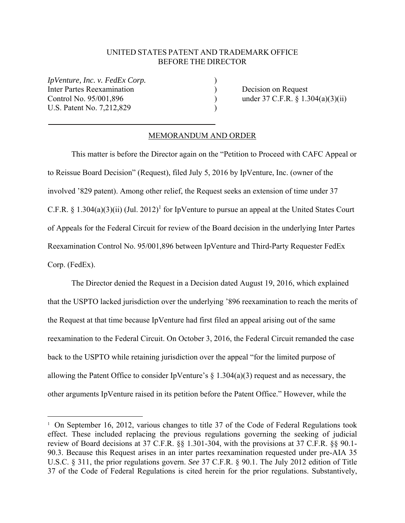## UNITED STATES PATENT AND TRADEMARK OFFICE BEFORE THE DIRECTOR

*IpVenture, Inc. v. FedEx Corp.* Inter Partes Reexamination (a) Decision on Request U.S. Patent No. 7,212,829

1

Control No. 95/001,896 ) under 37 C.F.R. § 1.304(a)(3)(ii)

## MEMORANDUM AND ORDER

 This matter is before the Director again on the "Petition to Proceed with CAFC Appeal or to Reissue Board Decision" (Request), filed July 5, 2016 by IpVenture, Inc. (owner of the involved '829 patent). Among other relief, the Request seeks an extension of time under 37 C.F.R. § 1.304(a)(3)(ii) (Jul. 2012)<sup>1</sup> for IpVenture to pursue an appeal at the United States Court of Appeals for the Federal Circuit for review of the Board decision in the underlying Inter Partes Reexamination Control No. 95/001,896 between IpVenture and Third-Party Requester FedEx Corp. (FedEx).

 The Director denied the Request in a Decision dated August 19, 2016, which explained that the USPTO lacked jurisdiction over the underlying '896 reexamination to reach the merits of the Request at that time because IpVenture had first filed an appeal arising out of the same reexamination to the Federal Circuit. On October 3, 2016, the Federal Circuit remanded the case back to the USPTO while retaining jurisdiction over the appeal "for the limited purpose of allowing the Patent Office to consider IpVenture's  $\S$  1.304(a)(3) request and as necessary, the other arguments IpVenture raised in its petition before the Patent Office." However, while the

<sup>&</sup>lt;sup>1</sup> On September 16, 2012, various changes to title 37 of the Code of Federal Regulations took effect. These included replacing the previous regulations governing the seeking of judicial review of Board decisions at 37 C.F.R. §§ 1.301-304, with the provisions at 37 C.F.R. §§ 90.1- 90.3. Because this Request arises in an inter partes reexamination requested under pre-AIA 35 U.S.C. § 311, the prior regulations govern. *See* 37 C.F.R. § 90.1. The July 2012 edition of Title 37 of the Code of Federal Regulations is cited herein for the prior regulations. Substantively,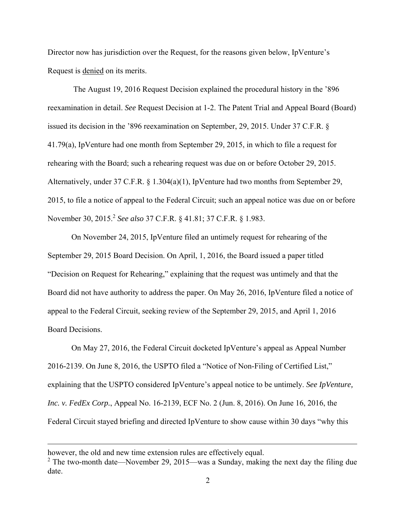Director now has jurisdiction over the Request, for the reasons given below, IpVenture's Request is denied on its merits.

 The August 19, 2016 Request Decision explained the procedural history in the '896 reexamination in detail. *See* Request Decision at 1-2. The Patent Trial and Appeal Board (Board) issued its decision in the '896 reexamination on September, 29, 2015. Under 37 C.F.R. § 41.79(a), IpVenture had one month from September 29, 2015, in which to file a request for rehearing with the Board; such a rehearing request was due on or before October 29, 2015. Alternatively, under 37 C.F.R. § 1.304(a)(1), IpVenture had two months from September 29, 2015, to file a notice of appeal to the Federal Circuit; such an appeal notice was due on or before November 30, 2015.<sup>2</sup> *See also* 37 C.F.R. § 41.81; 37 C.F.R. § 1.983.

 On November 24, 2015, IpVenture filed an untimely request for rehearing of the September 29, 2015 Board Decision. On April, 1, 2016, the Board issued a paper titled "Decision on Request for Rehearing," explaining that the request was untimely and that the Board did not have authority to address the paper. On May 26, 2016, IpVenture filed a notice of appeal to the Federal Circuit, seeking review of the September 29, 2015, and April 1, 2016 Board Decisions.

 On May 27, 2016, the Federal Circuit docketed IpVenture's appeal as Appeal Number 2016-2139. On June 8, 2016, the USPTO filed a "Notice of Non-Filing of Certified List," explaining that the USPTO considered IpVenture's appeal notice to be untimely. *See IpVenture, Inc. v. FedEx Corp.*, Appeal No. 16-2139, ECF No. 2 (Jun. 8, 2016). On June 16, 2016, the Federal Circuit stayed briefing and directed IpVenture to show cause within 30 days "why this

<u>.</u>

however, the old and new time extension rules are effectively equal.

<sup>&</sup>lt;sup>2</sup> The two-month date—November 29, 2015—was a Sunday, making the next day the filing due date.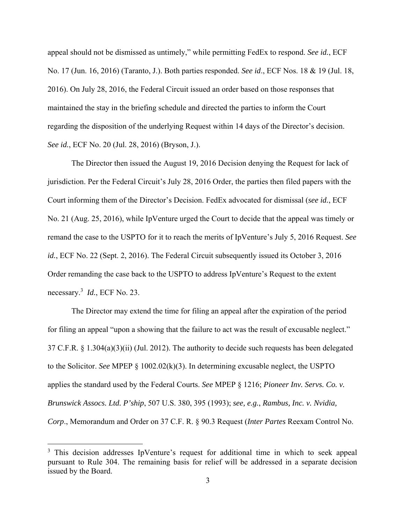appeal should not be dismissed as untimely," while permitting FedEx to respond. *See id.*, ECF No. 17 (Jun. 16, 2016) (Taranto, J.). Both parties responded. *See id*., ECF Nos. 18 & 19 (Jul. 18, 2016). On July 28, 2016, the Federal Circuit issued an order based on those responses that maintained the stay in the briefing schedule and directed the parties to inform the Court regarding the disposition of the underlying Request within 14 days of the Director's decision. *See id.*, ECF No. 20 (Jul. 28, 2016) (Bryson, J.).

 The Director then issued the August 19, 2016 Decision denying the Request for lack of jurisdiction. Per the Federal Circuit's July 28, 2016 Order, the parties then filed papers with the Court informing them of the Director's Decision. FedEx advocated for dismissal (*see id.*, ECF No. 21 (Aug. 25, 2016), while IpVenture urged the Court to decide that the appeal was timely or remand the case to the USPTO for it to reach the merits of IpVenture's July 5, 2016 Request. *See id.*, ECF No. 22 (Sept. 2, 2016). The Federal Circuit subsequently issued its October 3, 2016 Order remanding the case back to the USPTO to address IpVenture's Request to the extent necessary.3 *Id.*, ECF No. 23.

The Director may extend the time for filing an appeal after the expiration of the period for filing an appeal "upon a showing that the failure to act was the result of excusable neglect." 37 C.F.R. § 1.304(a)(3)(ii) (Jul. 2012). The authority to decide such requests has been delegated to the Solicitor. *See* MPEP § 1002.02(k)(3). In determining excusable neglect, the USPTO applies the standard used by the Federal Courts. *See* MPEP § 1216; *Pioneer Inv. Servs. Co. v. Brunswick Assocs. Ltd. P'ship*, 507 U.S. 380, 395 (1993); *see, e.g.*, *Rambus, Inc. v. Nvidia, Corp*., Memorandum and Order on 37 C.F. R. § 90.3 Request (*Inter Partes* Reexam Control No.

 $\overline{a}$ 

<sup>&</sup>lt;sup>3</sup> This decision addresses IpVenture's request for additional time in which to seek appeal pursuant to Rule 304. The remaining basis for relief will be addressed in a separate decision issued by the Board.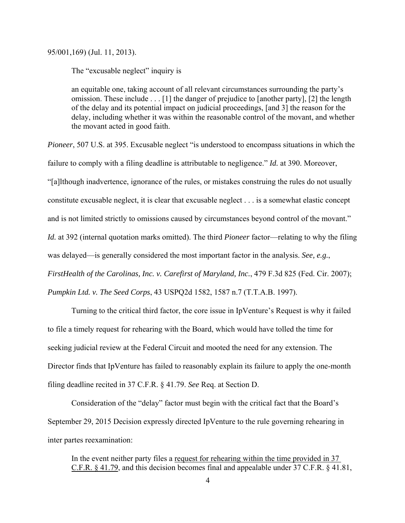95/001,169) (Jul. 11, 2013).

The "excusable neglect" inquiry is

an equitable one, taking account of all relevant circumstances surrounding the party's omission. These include . . . [1] the danger of prejudice to [another party], [2] the length of the delay and its potential impact on judicial proceedings, [and 3] the reason for the delay, including whether it was within the reasonable control of the movant, and whether the movant acted in good faith.

*Pioneer*, 507 U.S. at 395. Excusable neglect "is understood to encompass situations in which the failure to comply with a filing deadline is attributable to negligence." *Id.* at 390. Moreover, "[a]lthough inadvertence, ignorance of the rules, or mistakes construing the rules do not usually constitute excusable neglect, it is clear that excusable neglect . . . is a somewhat elastic concept and is not limited strictly to omissions caused by circumstances beyond control of the movant." *Id.* at 392 (internal quotation marks omitted). The third *Pioneer* factor—relating to why the filing was delayed—is generally considered the most important factor in the analysis. *See, e.g.*, *FirstHealth of the Carolinas, Inc. v. Carefirst of Maryland, Inc.*, 479 F.3d 825 (Fed. Cir. 2007); *Pumpkin Ltd. v. The Seed Corps*, 43 USPQ2d 1582, 1587 n.7 (T.T.A.B. 1997).

Turning to the critical third factor, the core issue in IpVenture's Request is why it failed to file a timely request for rehearing with the Board, which would have tolled the time for seeking judicial review at the Federal Circuit and mooted the need for any extension. The Director finds that IpVenture has failed to reasonably explain its failure to apply the one-month filing deadline recited in 37 C.F.R. § 41.79. *See* Req. at Section D.

Consideration of the "delay" factor must begin with the critical fact that the Board's September 29, 2015 Decision expressly directed IpVenture to the rule governing rehearing in inter partes reexamination:

In the event neither party files a request for rehearing within the time provided in 37 C.F.R. § 41.79, and this decision becomes final and appealable under 37 C.F.R. § 41.81,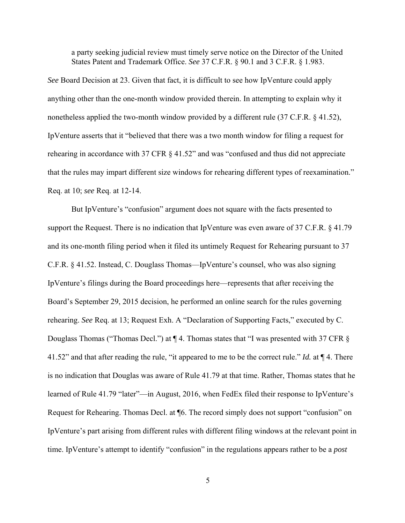a party seeking judicial review must timely serve notice on the Director of the United States Patent and Trademark Office. *See* 37 C.F.R. § 90.1 and 3 C.F.R. § 1.983.

*See* Board Decision at 23. Given that fact, it is difficult to see how IpVenture could apply anything other than the one-month window provided therein. In attempting to explain why it nonetheless applied the two-month window provided by a different rule (37 C.F.R. § 41.52), IpVenture asserts that it "believed that there was a two month window for filing a request for rehearing in accordance with 37 CFR § 41.52" and was "confused and thus did not appreciate that the rules may impart different size windows for rehearing different types of reexamination." Req. at 10; *see* Req. at 12-14.

 But IpVenture's "confusion" argument does not square with the facts presented to support the Request. There is no indication that IpVenture was even aware of 37 C.F.R. § 41.79 and its one-month filing period when it filed its untimely Request for Rehearing pursuant to 37 C.F.R. § 41.52. Instead, C. Douglass Thomas—IpVenture's counsel, who was also signing IpVenture's filings during the Board proceedings here—represents that after receiving the Board's September 29, 2015 decision, he performed an online search for the rules governing rehearing. *See* Req. at 13; Request Exh. A "Declaration of Supporting Facts," executed by C. Douglass Thomas ("Thomas Decl.") at ¶ 4. Thomas states that "I was presented with 37 CFR § 41.52" and that after reading the rule, "it appeared to me to be the correct rule." *Id.* at ¶ 4. There is no indication that Douglas was aware of Rule 41.79 at that time. Rather, Thomas states that he learned of Rule 41.79 "later"—in August, 2016, when FedEx filed their response to IpVenture's Request for Rehearing. Thomas Decl. at ¶6. The record simply does not support "confusion" on IpVenture's part arising from different rules with different filing windows at the relevant point in time. IpVenture's attempt to identify "confusion" in the regulations appears rather to be a *post*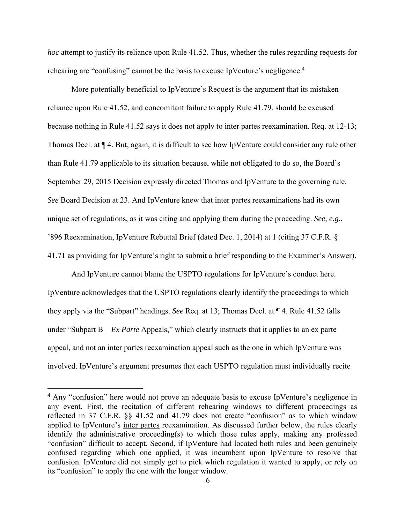*hoc* attempt to justify its reliance upon Rule 41.52. Thus, whether the rules regarding requests for rehearing are "confusing" cannot be the basis to excuse IpVenture's negligence.<sup>4</sup>

More potentially beneficial to IpVenture's Request is the argument that its mistaken reliance upon Rule 41.52, and concomitant failure to apply Rule 41.79, should be excused because nothing in Rule 41.52 says it does not apply to inter partes reexamination. Req. at 12-13; Thomas Decl. at ¶ 4. But, again, it is difficult to see how IpVenture could consider any rule other than Rule 41.79 applicable to its situation because, while not obligated to do so, the Board's September 29, 2015 Decision expressly directed Thomas and IpVenture to the governing rule. *See* Board Decision at 23. And IpVenture knew that inter partes reexaminations had its own unique set of regulations, as it was citing and applying them during the proceeding. *See, e.g.*, '896 Reexamination, IpVenture Rebuttal Brief (dated Dec. 1, 2014) at 1 (citing 37 C.F.R. § 41.71 as providing for IpVenture's right to submit a brief responding to the Examiner's Answer).

 And IpVenture cannot blame the USPTO regulations for IpVenture's conduct here. IpVenture acknowledges that the USPTO regulations clearly identify the proceedings to which they apply via the "Subpart" headings. *See* Req. at 13; Thomas Decl. at ¶ 4. Rule 41.52 falls under "Subpart B—*Ex Parte* Appeals," which clearly instructs that it applies to an ex parte appeal, and not an inter partes reexamination appeal such as the one in which IpVenture was involved. IpVenture's argument presumes that each USPTO regulation must individually recite

 $\overline{a}$ 

<sup>&</sup>lt;sup>4</sup> Any "confusion" here would not prove an adequate basis to excuse IpVenture's negligence in any event. First, the recitation of different rehearing windows to different proceedings as reflected in 37 C.F.R. §§ 41.52 and 41.79 does not create "confusion" as to which window applied to IpVenture's inter partes reexamination. As discussed further below, the rules clearly identify the administrative proceeding(s) to which those rules apply, making any professed "confusion" difficult to accept. Second, if IpVenture had located both rules and been genuinely confused regarding which one applied, it was incumbent upon IpVenture to resolve that confusion. IpVenture did not simply get to pick which regulation it wanted to apply, or rely on its "confusion" to apply the one with the longer window.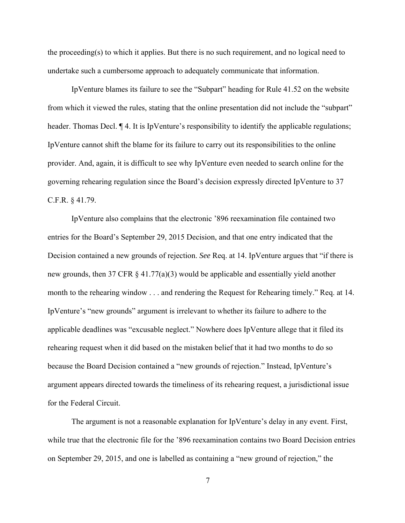the proceeding(s) to which it applies. But there is no such requirement, and no logical need to undertake such a cumbersome approach to adequately communicate that information.

 IpVenture blames its failure to see the "Subpart" heading for Rule 41.52 on the website from which it viewed the rules, stating that the online presentation did not include the "subpart" header. Thomas Decl.  $\P$  4. It is IpVenture's responsibility to identify the applicable regulations; IpVenture cannot shift the blame for its failure to carry out its responsibilities to the online provider. And, again, it is difficult to see why IpVenture even needed to search online for the governing rehearing regulation since the Board's decision expressly directed IpVenture to 37 C.F.R. § 41.79.

 IpVenture also complains that the electronic '896 reexamination file contained two entries for the Board's September 29, 2015 Decision, and that one entry indicated that the Decision contained a new grounds of rejection. *See* Req. at 14. IpVenture argues that "if there is new grounds, then 37 CFR § 41.77(a)(3) would be applicable and essentially yield another month to the rehearing window . . . and rendering the Request for Rehearing timely." Req. at 14. IpVenture's "new grounds" argument is irrelevant to whether its failure to adhere to the applicable deadlines was "excusable neglect." Nowhere does IpVenture allege that it filed its rehearing request when it did based on the mistaken belief that it had two months to do so because the Board Decision contained a "new grounds of rejection." Instead, IpVenture's argument appears directed towards the timeliness of its rehearing request, a jurisdictional issue for the Federal Circuit.

 The argument is not a reasonable explanation for IpVenture's delay in any event. First, while true that the electronic file for the '896 reexamination contains two Board Decision entries on September 29, 2015, and one is labelled as containing a "new ground of rejection," the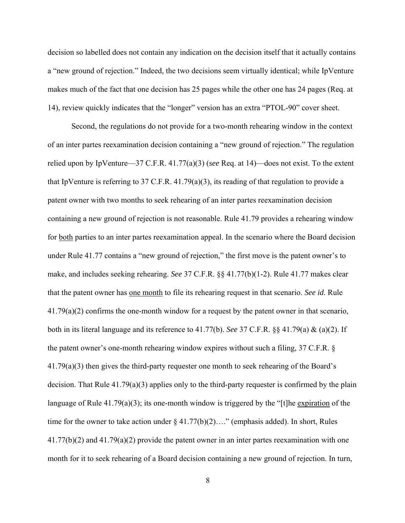decision so labelled does not contain any indication on the decision itself that it actually contains a "new ground of rejection." Indeed, the two decisions seem virtually identical; while IpVenture makes much of the fact that one decision has 25 pages while the other one has 24 pages (Req. at 14), review quickly indicates that the "longer" version has an extra "PTOL-90" cover sheet.

 Second, the regulations do not provide for a two-month rehearing window in the context of an inter partes reexamination decision containing a "new ground of rejection." The regulation relied upon by IpVenture—37 C.F.R. 41.77(a)(3) (*see* Req. at 14)—does not exist. To the extent that IpVenture is referring to 37 C.F.R. 41.79(a)(3), its reading of that regulation to provide a patent owner with two months to seek rehearing of an inter partes reexamination decision containing a new ground of rejection is not reasonable. Rule 41.79 provides a rehearing window for both parties to an inter partes reexamination appeal. In the scenario where the Board decision under Rule 41.77 contains a "new ground of rejection," the first move is the patent owner's to make, and includes seeking rehearing. *See* 37 C.F.R. §§ 41.77(b)(1-2). Rule 41.77 makes clear that the patent owner has one month to file its rehearing request in that scenario. *See id.* Rule 41.79(a)(2) confirms the one-month window for a request by the patent owner in that scenario, both in its literal language and its reference to 41.77(b). *See* 37 C.F.R. §§ 41.79(a) & (a)(2). If the patent owner's one-month rehearing window expires without such a filing, 37 C.F.R. § 41.79(a)(3) then gives the third-party requester one month to seek rehearing of the Board's decision. That Rule 41.79(a)(3) applies only to the third-party requester is confirmed by the plain language of Rule 41.79(a)(3); its one-month window is triggered by the "[t]he expiration of the time for the owner to take action under  $\S 41.77(b)(2)...$  (emphasis added). In short, Rules 41.77(b)(2) and 41.79(a)(2) provide the patent owner in an inter partes reexamination with one month for it to seek rehearing of a Board decision containing a new ground of rejection. In turn,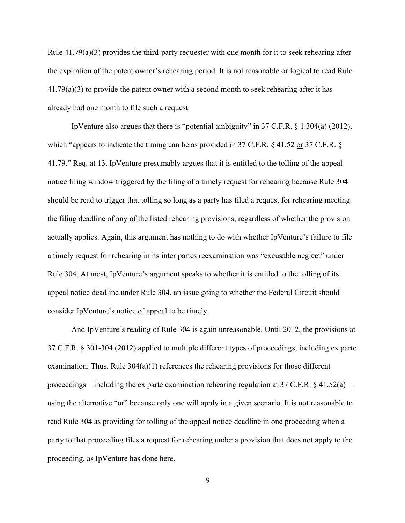Rule 41.79(a)(3) provides the third-party requester with one month for it to seek rehearing after the expiration of the patent owner's rehearing period. It is not reasonable or logical to read Rule 41.79(a)(3) to provide the patent owner with a second month to seek rehearing after it has already had one month to file such a request.

 IpVenture also argues that there is "potential ambiguity" in 37 C.F.R. § 1.304(a) (2012), which "appears to indicate the timing can be as provided in 37 C.F.R. § 41.52 or 37 C.F.R. § 41.79." Req. at 13. IpVenture presumably argues that it is entitled to the tolling of the appeal notice filing window triggered by the filing of a timely request for rehearing because Rule 304 should be read to trigger that tolling so long as a party has filed a request for rehearing meeting the filing deadline of any of the listed rehearing provisions, regardless of whether the provision actually applies. Again, this argument has nothing to do with whether IpVenture's failure to file a timely request for rehearing in its inter partes reexamination was "excusable neglect" under Rule 304. At most, IpVenture's argument speaks to whether it is entitled to the tolling of its appeal notice deadline under Rule 304, an issue going to whether the Federal Circuit should consider IpVenture's notice of appeal to be timely.

 And IpVenture's reading of Rule 304 is again unreasonable. Until 2012, the provisions at 37 C.F.R. § 301-304 (2012) applied to multiple different types of proceedings, including ex parte examination. Thus, Rule 304(a)(1) references the rehearing provisions for those different proceedings—including the ex parte examination rehearing regulation at 37 C.F.R. § 41.52(a) using the alternative "or" because only one will apply in a given scenario. It is not reasonable to read Rule 304 as providing for tolling of the appeal notice deadline in one proceeding when a party to that proceeding files a request for rehearing under a provision that does not apply to the proceeding, as IpVenture has done here.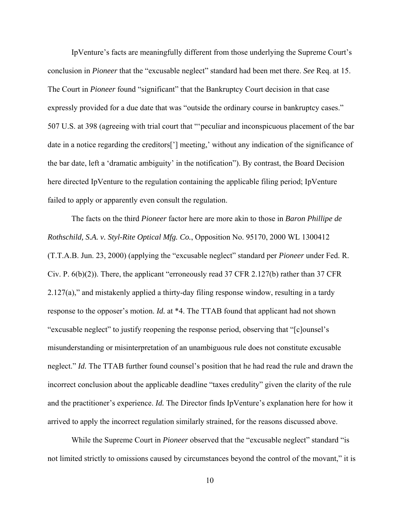IpVenture's facts are meaningfully different from those underlying the Supreme Court's conclusion in *Pioneer* that the "excusable neglect" standard had been met there. *See* Req. at 15. The Court in *Pioneer* found "significant" that the Bankruptcy Court decision in that case expressly provided for a due date that was "outside the ordinary course in bankruptcy cases." 507 U.S. at 398 (agreeing with trial court that "'peculiar and inconspicuous placement of the bar date in a notice regarding the creditors['] meeting,' without any indication of the significance of the bar date, left a 'dramatic ambiguity' in the notification"). By contrast, the Board Decision here directed IpVenture to the regulation containing the applicable filing period; IpVenture failed to apply or apparently even consult the regulation.

 The facts on the third *Pioneer* factor here are more akin to those in *Baron Phillipe de Rothschild, S.A. v. Styl-Rite Optical Mfg. Co.*, Opposition No. 95170, 2000 WL 1300412 (T.T.A.B. Jun. 23, 2000) (applying the "excusable neglect" standard per *Pioneer* under Fed. R. Civ. P. 6(b)(2)). There, the applicant "erroneously read 37 CFR 2.127(b) rather than 37 CFR 2.127(a)," and mistakenly applied a thirty-day filing response window, resulting in a tardy response to the opposer's motion. *Id.* at \*4. The TTAB found that applicant had not shown "excusable neglect" to justify reopening the response period, observing that "[c]ounsel's misunderstanding or misinterpretation of an unambiguous rule does not constitute excusable neglect." *Id.* The TTAB further found counsel's position that he had read the rule and drawn the incorrect conclusion about the applicable deadline "taxes credulity" given the clarity of the rule and the practitioner's experience. *Id.* The Director finds IpVenture's explanation here for how it arrived to apply the incorrect regulation similarly strained, for the reasons discussed above.

 While the Supreme Court in *Pioneer* observed that the "excusable neglect" standard "is not limited strictly to omissions caused by circumstances beyond the control of the movant," it is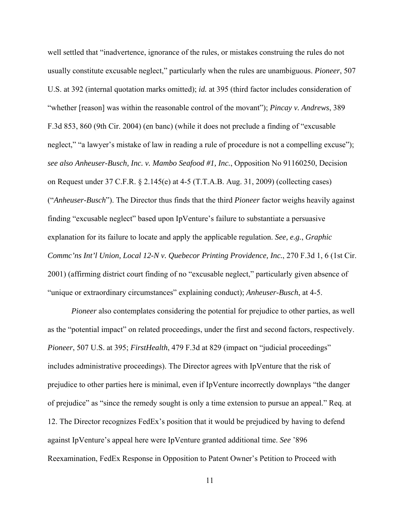well settled that "inadvertence, ignorance of the rules, or mistakes construing the rules do not usually constitute excusable neglect," particularly when the rules are unambiguous. *Pioneer*, 507 U.S. at 392 (internal quotation marks omitted); *id.* at 395 (third factor includes consideration of "whether [reason] was within the reasonable control of the movant"); *Pincay v. Andrews*, 389 F.3d 853, 860 (9th Cir. 2004) (en banc) (while it does not preclude a finding of "excusable neglect," "a lawyer's mistake of law in reading a rule of procedure is not a compelling excuse"); *see also Anheuser-Busch, Inc. v. Mambo Seafood #1, Inc.*, Opposition No 91160250, Decision on Request under 37 C.F.R. § 2.145(e) at 4-5 (T.T.A.B. Aug. 31, 2009) (collecting cases) ("*Anheuser-Busch*"). The Director thus finds that the third *Pioneer* factor weighs heavily against finding "excusable neglect" based upon IpVenture's failure to substantiate a persuasive explanation for its failure to locate and apply the applicable regulation. *See, e.g.*, *Graphic Commc'ns Int'l Union, Local 12-N v. Quebecor Printing Providence, Inc.*, 270 F.3d 1, 6 (1st Cir. 2001) (affirming district court finding of no "excusable neglect," particularly given absence of "unique or extraordinary circumstances" explaining conduct); *Anheuser-Busch*, at 4-5.

*Pioneer* also contemplates considering the potential for prejudice to other parties, as well as the "potential impact" on related proceedings, under the first and second factors, respectively. *Pioneer*, 507 U.S. at 395; *FirstHealth*, 479 F.3d at 829 (impact on "judicial proceedings" includes administrative proceedings). The Director agrees with IpVenture that the risk of prejudice to other parties here is minimal, even if IpVenture incorrectly downplays "the danger of prejudice" as "since the remedy sought is only a time extension to pursue an appeal." Req. at 12. The Director recognizes FedEx's position that it would be prejudiced by having to defend against IpVenture's appeal here were IpVenture granted additional time. *See* '896 Reexamination, FedEx Response in Opposition to Patent Owner's Petition to Proceed with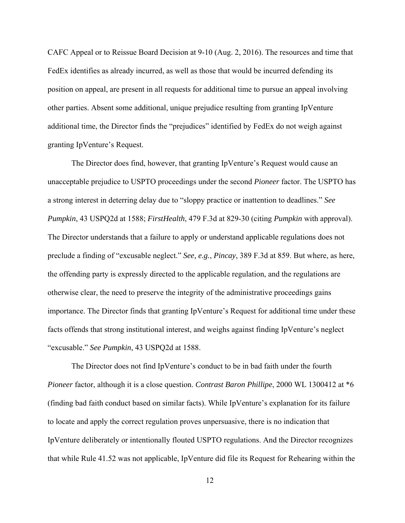CAFC Appeal or to Reissue Board Decision at 9-10 (Aug. 2, 2016). The resources and time that FedEx identifies as already incurred, as well as those that would be incurred defending its position on appeal, are present in all requests for additional time to pursue an appeal involving other parties. Absent some additional, unique prejudice resulting from granting IpVenture additional time, the Director finds the "prejudices" identified by FedEx do not weigh against granting IpVenture's Request.

The Director does find, however, that granting IpVenture's Request would cause an unacceptable prejudice to USPTO proceedings under the second *Pioneer* factor. The USPTO has a strong interest in deterring delay due to "sloppy practice or inattention to deadlines." *See Pumpkin*, 43 USPQ2d at 1588; *FirstHealth*, 479 F.3d at 829-30 (citing *Pumpkin* with approval). The Director understands that a failure to apply or understand applicable regulations does not preclude a finding of "excusable neglect." *See, e.g.*, *Pincay*, 389 F.3d at 859. But where, as here, the offending party is expressly directed to the applicable regulation, and the regulations are otherwise clear, the need to preserve the integrity of the administrative proceedings gains importance. The Director finds that granting IpVenture's Request for additional time under these facts offends that strong institutional interest, and weighs against finding IpVenture's neglect "excusable." *See Pumpkin*, 43 USPQ2d at 1588.

The Director does not find IpVenture's conduct to be in bad faith under the fourth *Pioneer* factor, although it is a close question. *Contrast Baron Phillipe*, 2000 WL 1300412 at \*6 (finding bad faith conduct based on similar facts). While IpVenture's explanation for its failure to locate and apply the correct regulation proves unpersuasive, there is no indication that IpVenture deliberately or intentionally flouted USPTO regulations. And the Director recognizes that while Rule 41.52 was not applicable, IpVenture did file its Request for Rehearing within the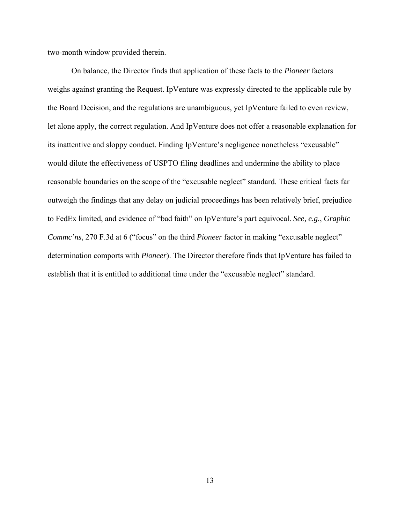two-month window provided therein.

On balance, the Director finds that application of these facts to the *Pioneer* factors weighs against granting the Request. IpVenture was expressly directed to the applicable rule by the Board Decision, and the regulations are unambiguous, yet IpVenture failed to even review, let alone apply, the correct regulation. And IpVenture does not offer a reasonable explanation for its inattentive and sloppy conduct. Finding IpVenture's negligence nonetheless "excusable" would dilute the effectiveness of USPTO filing deadlines and undermine the ability to place reasonable boundaries on the scope of the "excusable neglect" standard. These critical facts far outweigh the findings that any delay on judicial proceedings has been relatively brief, prejudice to FedEx limited, and evidence of "bad faith" on IpVenture's part equivocal. *See, e.g.*, *Graphic Commc'ns*, 270 F.3d at 6 ("focus" on the third *Pioneer* factor in making "excusable neglect" determination comports with *Pioneer*). The Director therefore finds that IpVenture has failed to establish that it is entitled to additional time under the "excusable neglect" standard.